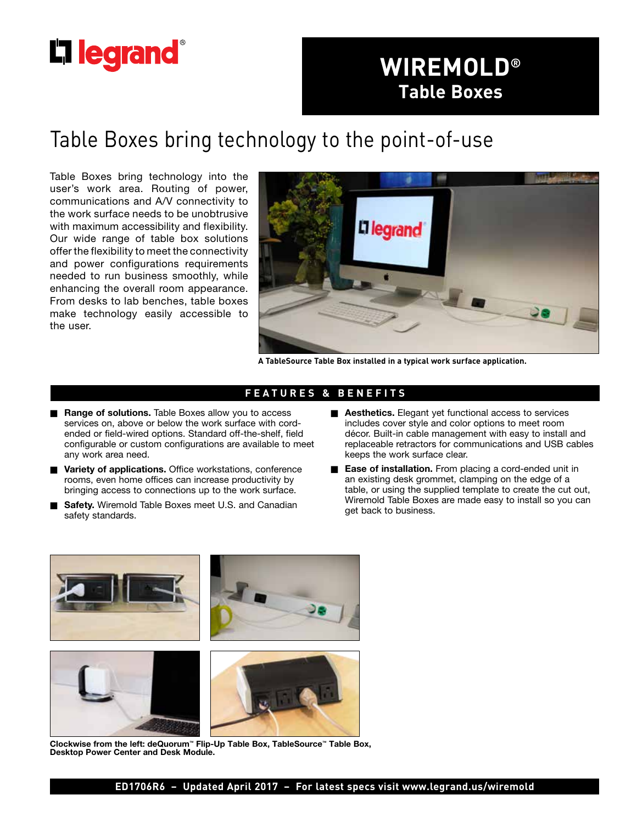# **L'i legrand**

# **WIREMOLD® Table Boxes**

# Table Boxes bring technology to the point-of-use

Table Boxes bring technology into the user's work area. Routing of power, communications and A/V connectivity to the work surface needs to be unobtrusive with maximum accessibility and flexibility. Our wide range of table box solutions offer the flexibility to meet the connectivity and power configurations requirements needed to run business smoothly, while enhancing the overall room appearance. From desks to lab benches, table boxes make technology easily accessible to the user.



**A TableSource Table Box installed in a typical work surface application.**

# **FEATURES & BENEFITS**

- **Range of solutions.** Table Boxes allow you to access services on, above or below the work surface with cordended or field-wired options. Standard off-the-shelf, field configurable or custom configurations are available to meet any work area need.
- **Nariety of applications.** Office workstations, conference rooms, even home offices can increase productivity by bringing access to connections up to the work surface.
- Safety. Wiremold Table Boxes meet U.S. and Canadian safety standards.
- **Aesthetics.** Elegant yet functional access to services includes cover style and color options to meet room décor. Built-in cable management with easy to install and replaceable retractors for communications and USB cables keeps the work surface clear.
- **Ease of installation.** From placing a cord-ended unit in an existing desk grommet, clamping on the edge of a table, or using the supplied template to create the cut out, Wiremold Table Boxes are made easy to install so you can get back to business.



**Clockwise from the left: deQuorum™ Flip-Up Table Box, TableSource™ Table Box, Desktop Power Center and Desk Module.**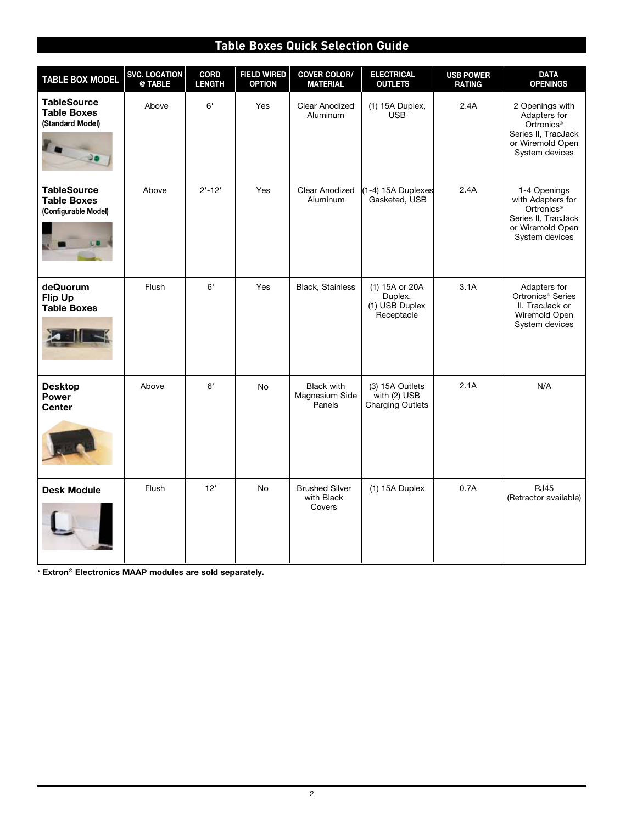# **Table Boxes Quick Selection Guide**

| <b>TABLE BOX MODEL</b>                                           | <b>SVC. LOCATION</b><br>@ TABLE | <b>CORD</b><br><b>LENGTH</b> | <b>FIELD WIRED</b><br><b>OPTION</b> | <b>COVER COLOR/</b><br><b>MATERIAL</b>        | <b>ELECTRICAL</b><br><b>OUTLETS</b>                        | <b>USB POWER</b><br><b>RATING</b> | <b>DATA</b><br><b>OPENINGS</b>                                                                                           |
|------------------------------------------------------------------|---------------------------------|------------------------------|-------------------------------------|-----------------------------------------------|------------------------------------------------------------|-----------------------------------|--------------------------------------------------------------------------------------------------------------------------|
| <b>TableSource</b><br><b>Table Boxes</b><br>(Standard Model)     | Above                           | 6'                           | Yes                                 | <b>Clear Anodized</b><br>Aluminum             | (1) 15A Duplex,<br><b>USB</b>                              | 2.4A                              | 2 Openings with<br>Adapters for<br>Ortronics <sup>®</sup><br>Series II, TracJack<br>or Wiremold Open<br>System devices   |
| <b>TableSource</b><br><b>Table Boxes</b><br>(Configurable Model) | Above                           | $2'-12'$                     | Yes                                 | <b>Clear Anodized</b><br><b>Aluminum</b>      | (1-4) 15A Duplexes<br>Gasketed, USB                        | 2.4A                              | 1-4 Openings<br>with Adapters for<br>Ortronics <sup>®</sup><br>Series II, TracJack<br>or Wiremold Open<br>System devices |
| deQuorum<br>Flip Up<br><b>Table Boxes</b>                        | Flush                           | 6'                           | Yes                                 | Black, Stainless                              | (1) 15A or 20A<br>Duplex,<br>(1) USB Duplex<br>Receptacle  | 3.1A                              | Adapters for<br>Ortronics <sup>®</sup> Series<br>II. TracJack or<br>Wiremold Open<br>System devices                      |
| <b>Desktop</b><br><b>Power</b><br><b>Center</b>                  | Above                           | 6'                           | <b>No</b>                           | <b>Black with</b><br>Magnesium Side<br>Panels | (3) 15A Outlets<br>with (2) USB<br><b>Charging Outlets</b> | 2.1A                              | N/A                                                                                                                      |
| <b>Desk Module</b>                                               | Flush                           | 12'                          | <b>No</b>                           | <b>Brushed Silver</b><br>with Black<br>Covers | $(1)$ 15A Duplex                                           | 0.7A                              | <b>RJ45</b><br>(Retractor available)                                                                                     |

**\* Extron® Electronics MAAP modules are sold separately.**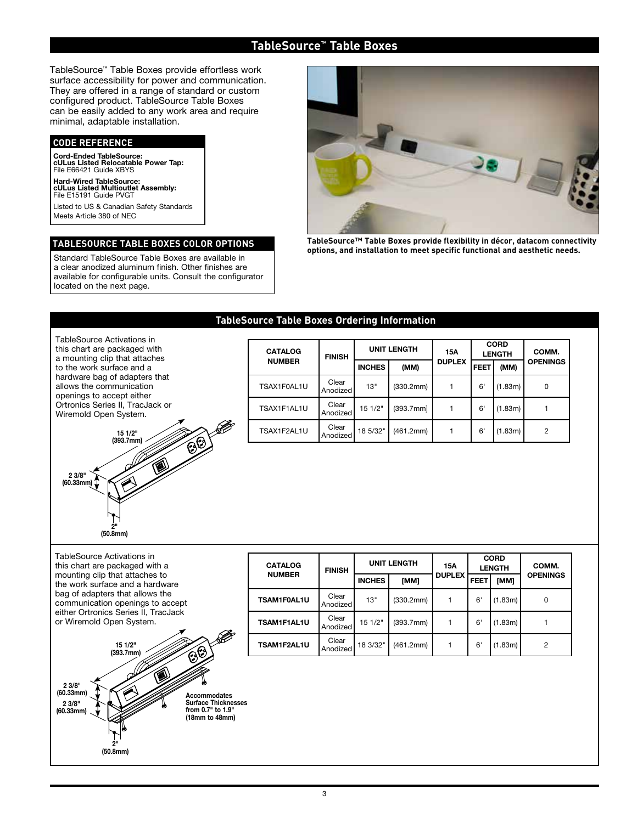# **TableSource™ Table Boxes**

TableSource™ Table Boxes provide effortless work surface accessibility for power and communication. They are offered in a range of standard or custom configured product. TableSource Table Boxes can be easily added to any work area and require minimal, adaptable installation.

### **CODE REFERENCE**

**Cord-Ended TableSource: cULus Listed Relocatable Power Tap:** File E66421 Guide XBYS

**Hard-Wired TableSource: cULus Listed Multioutlet Assembly:** File E15191 Guide PVGT

Listed to US & Canadian Safety Standards Meets Article 380 of NEC

### **TABLESOURCE TABLE BOXES COLOR OPTIONS**

Standard TableSource Table Boxes are available in a clear anodized aluminum finish. Other finishes are available for configurable units. Consult the configurator located on the next page.



**TableSource™ Table Boxes provide flexibility in décor, datacom connectivity options, and installation to meet specific functional and aesthetic needs.**

## **TableSource Table Boxes Ordering Information**

TableSource Activations in this chart are packaged with a mounting clip that attaches to the work surface and a hardware bag of adapters that allows the communication openings to accept either Ortronics Series II, TracJack or Wiremold Open System.



| <b>CATALOG</b> | <b>FINISH</b>     | <b>UNIT LENGTH</b> |           | 15A           | <b>CORD</b><br><b>LENGTH</b> |         | COMM.           |  |
|----------------|-------------------|--------------------|-----------|---------------|------------------------------|---------|-----------------|--|
| <b>NUMBER</b>  |                   | <b>INCHES</b>      | (MM)      | <b>DUPLEX</b> | <b>FEET</b>                  | (MM)    | <b>OPENINGS</b> |  |
| TSAX1F0AL1U    | Clear<br>Anodized | 13"                | (330.2mm) |               | 6'                           | (1.83m) | 0               |  |
| TSAX1F1AL1U    | Clear<br>Anodized | 15 1/2"            | (393.7mm] |               | 6'                           | (1.83m) |                 |  |
| TSAX1F2AL1U    | Clear<br>Anodized | 18 5/32"           | (461.2mm) |               | 6                            | (1.83m) | 2               |  |

TableSource Activations in this chart are packaged with a mounting clip that attaches to the work surface and a hardware bag of adapters that allows the communication openings to accept either Ortronics Series II, TracJack or Wiremold Open System.



| <b>CATALOG</b> | <b>FINISH</b>     | <b>UNIT LENGTH</b> |           | 15A           | <b>CORD</b><br><b>LENGTH</b> |         | COMM.           |
|----------------|-------------------|--------------------|-----------|---------------|------------------------------|---------|-----------------|
| <b>NUMBER</b>  |                   | <b>INCHES</b>      | [MM]      | <b>DUPLEX</b> | <b>FEET</b>                  | [MM]    | <b>OPENINGS</b> |
| TSAM1F0AL1U    | Clear<br>Anodized | 13"                | (330.2mm) |               | 6                            | (1.83m) | 0               |
| TSAM1F1AL1U    | Clear<br>Anodized | 151/2"             | (393.7mm) |               | 6                            | (1.83m) |                 |
| TSAM1F2AL1U    | Clear<br>Anodized | 18 3/32"           | (461.2mm) |               | 6                            | (1.83m) | 2               |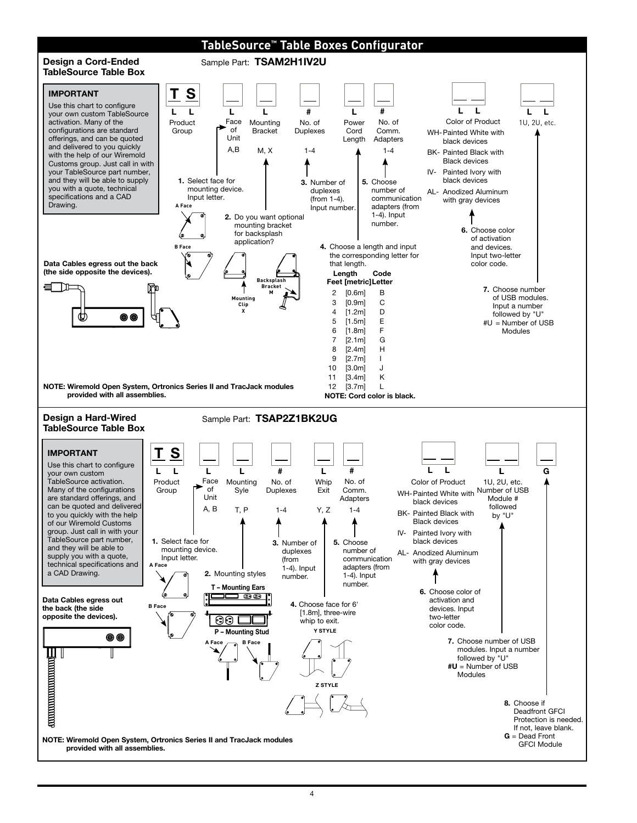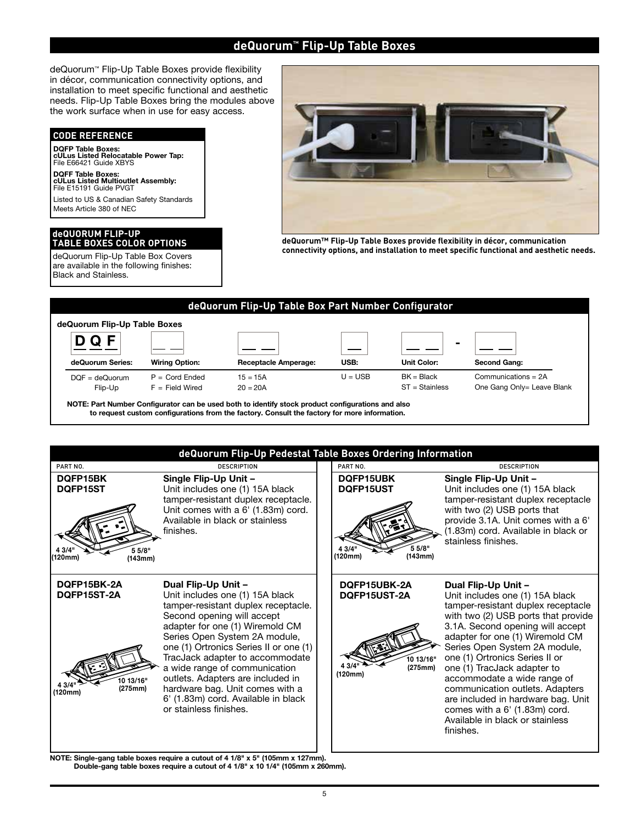# **deQuorum™ Flip-Up Table Boxes**

deQuorum™ Flip-Up Table Boxes provide flexibility in décor, communication connectivity options, and installation to meet specific functional and aesthetic needs. Flip-Up Table Boxes bring the modules above the work surface when in use for easy access.

### **CODE REFERENCE**

**DQFP Table Boxes: cULus Listed Relocatable Power Tap:** File E66421 Guide XBYS

**DQFF Table Boxes: cULus Listed Multioutlet Assembly:** File E15191 Guide PVGT

Listed to US & Canadian Safety Standards Meets Article 380 of NEC

#### **deQUORUM FLIP-UP TABLE BOXES COLOR OPTIONS**

are available in the following finishes: Black and Stainless.



**deQuorum™ Flip-Up Table Boxes provide flexibility in décor, communication connectivity options, and installation to meet specific functional and aesthetic needs.** deQuorum Flip-Up Table Box Covers





**NOTE: Single-gang table boxes require a cutout of 4 1/8" x 5" (105mm x 127mm). Double-gang table boxes require a cutout of 4 1/8" x 10 1/4" (105mm x 260mm).**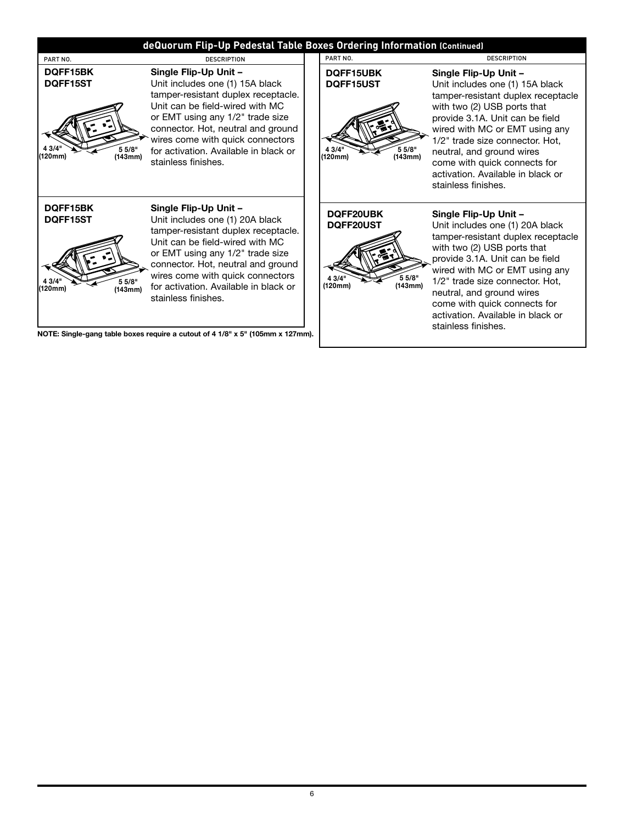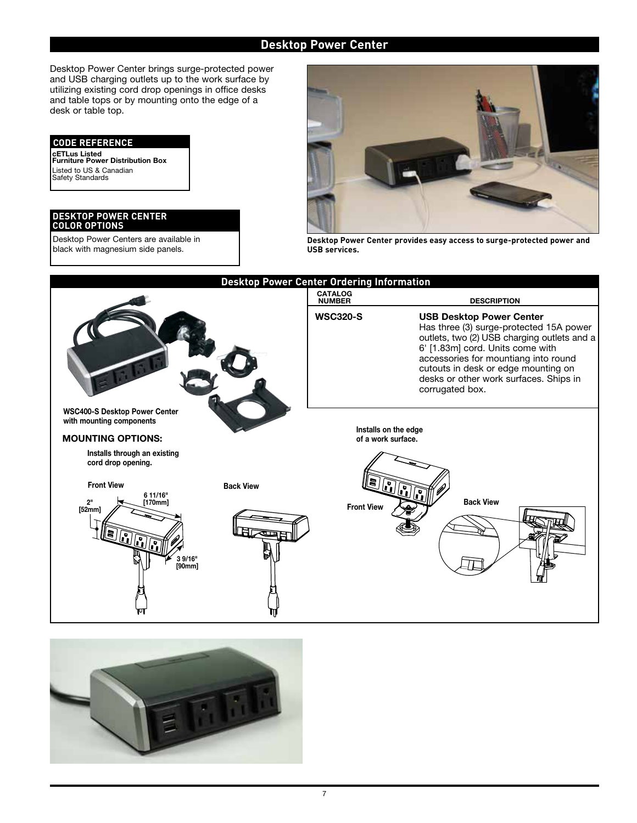# **Desktop Power Center**

Desktop Power Center brings surge-protected power and USB charging outlets up to the work surface by utilizing existing cord drop openings in office desks and table tops or by mounting onto the edge of a desk or table top.

### **CODE REFERENCE**

**cETLus Listed Furniture Power Distribution Box** Listed to US & Canadian Safety Standards

#### **DESKTOP POWER CENTER COLOR OPTIONS**

Desktop Power Centers are available in black with magnesium side panels.



**Desktop Power Center provides easy access to surge-protected power and USB services.**